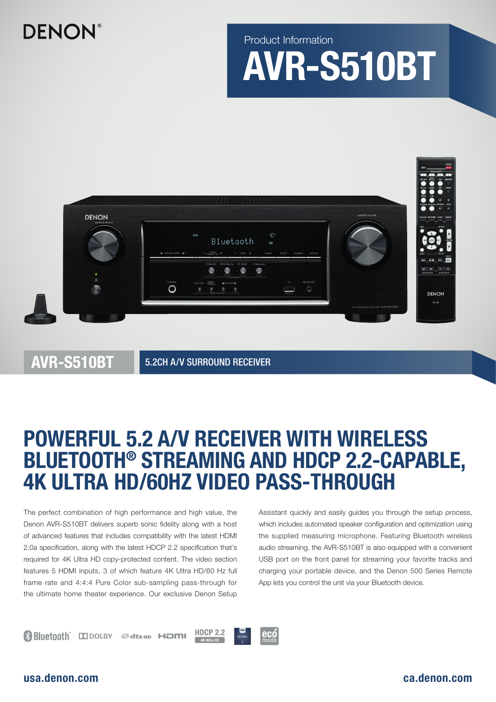## **DENON**

# AVR-S510BT Product Information



AVR-S510BT

5.2CH A/V SURROUND RECEIVER

### POWERFUL 5.2 A/V RECEIVER WITH WIRELESS BLUETOOTH® STREAMING AND HDCP 2.2-CAPABLE, 4K ULTRA HD/60HZ VIDEO PASS-THROUGH

The perfect combination of high performance and high value, the Denon AVR-S510BT delivers superb sonic fidelity along with a host of advanced features that includes compatibility with the latest HDMI 2.0a specification, along with the latest HDCP 2.2 specification that's required for 4K Ultra HD copy-protected content. The video section features 5 HDMI inputs, 3 of which feature 4K Ultra HD/60 Hz full frame rate and 4:4:4 Pure Color sub-sampling pass-through for the ultimate home theater experience. Our exclusive Denon Setup Assistant quickly and easily guides you through the setup process, which includes automated speaker configuration and optimization using the supplied measuring microphone. Featuring Bluetooth wireless audio streaming, the AVR-S510BT is also equipped with a convenient USB port on the front panel for streaming your favorite tracks and charging your portable device, and the Denon 500 Series Remote App lets you control the unit via your Bluetooth device.

### usa.denon.com ca.denon.com